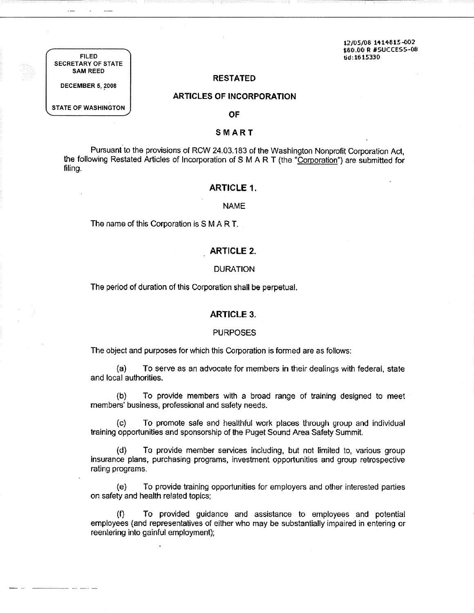12/05/08 1414815-002 \$80.00 R #SUCCESS-OS tid:1615330

FILED SECRETARY OF STATE SAM REED

**RESTATED** 

# **ARTICLES OF INCORPORATION**

STATE OF WASHINGTON

------- ----

**DECEMBER 5, 2008** 

# **OF**

# **SMART**

Pursuant to the provisions of RCW 24.03.183 of the Washington Nonprofit Corporation Act, the following Restated Articles of Incorporation of S M A R T (the "Corporation") are submitted for filing.

# **ARTICLE 1.**

#### NAME

The name of this Corporation is S M A R T.

# **ARTICLE 2.**

# DURATION

The period of duration of this Corporation shall be perpetual.

#### **ARTICLE 3.**

#### PURPOSES

The object and purposes for which this Corporation is formed are as follows:

(a) To serve as an advocate for members in their dealings with federal, state and local authorities.

(b) To provide members with a broad range of training designed to meet members' business, professional and safety needs.

(c) To promote safe and healthful work places through group and individual training opportunities and sponsorship of the Puget Sound Area Safety Summit.

(d) To provide member services including, but not limited to, various group insurance plans, purchasing programs, investment opportunities and group retrospective rating programs.

{e) To provide training opportunities for employers and other interested parties on safety and health related topics;

(f) To provided guidance and assistance to employees and potential employees {and representatives of either who may be substantially impaired in entering or reentering into gainful employment);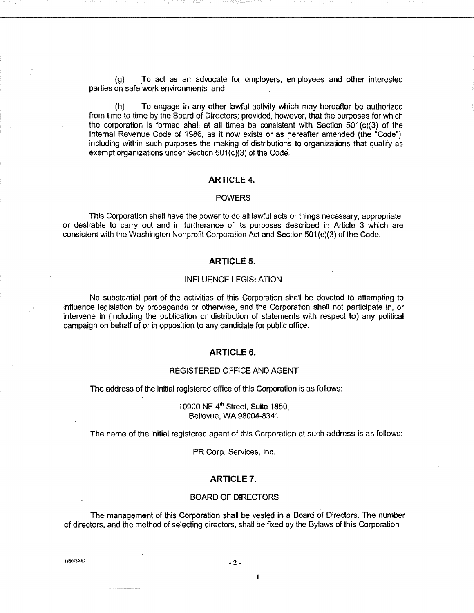(g) To act as an advocate for employers, employees and other interested parties on safe work environments; and

(h) To engage in any other lawful activity which may hereafter be authorized from time to time by the Board of Directors; provided, however, that the purposes for which the corporation is formed shall at all times be consistent with Section 501(c)(3) of the Internal Revenue Code of 1986, as it now exists or as hereafter amended (the "Code"), including within such purposes the making of distributions to organizations that qualify as exempt organizations under Section  $501(c)(3)$  of the Code.

# **ARTICLE 4.**

#### POWERS

This Corporation shall have the power to do all lawful acts or things necessary, appropriate, or desirable to carry out and in furtherance of its purposes described in Article 3 which are consistent with the Washington Nonprofit Corporation Act and Section 501(c)(3) of the Code.

# **ARTICLE 5.**

### INFLUENCE LEGISLATION

No substantial part of the activities of this Corporation shall be devoted to attempting to influence legislation by propaganda or otherwise, and the Corporation shall not participate in, or intervene in (including the publication or distribution of statements with respect to) any political campaign on behalf of or in opposition to any candidate for public office.

## **ARTICLE 6.**

## REGISTERED OFFICE AND AGENT

The address of the initial registered office of this Corporation is as follows:

10900 NE  $4<sup>th</sup>$  Street, Suite 1850, Bellevue, WA 98004-8341

The name of the initial registered agent of this Corporation at such address is as follows:

PR Corp. Services, Inc.

### **ARTICLE 7.**

#### BOARD OF DIRECTORS

The management of this Corporation shall be vested in a Board of Directors. The number of directors, and the method of selecting directors, shall be fixed by the Bylaws of this Corporation.

1880559.03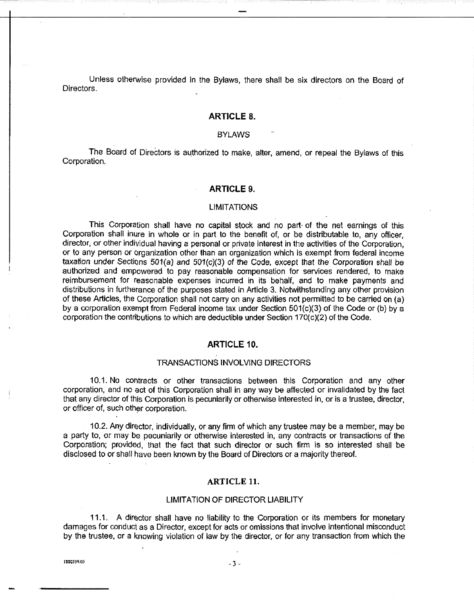Unless otherwise provided In the Bylaws, there shall be six directors on the Board of Directors.

# **ARTICLE 8.**

# **BYLAWS**

The Board of Directors is authorized to make, alter, amend, or repeal the Bylaws of this Corporation.

## **ARTICLE 9.**

#### LIMITATIONS

This Corporation shall have no capital stock and no part· of the net earnings of this Corporation shall inure in whole or in part to the benefit of, or be distributable to, any officer, director, or other individual having a personal or private interest in the activities of the Corporation, or to any person or organization other than an organization which is exempt from federal income taxation under Sections 501(a) and 501(c)(3) of the Code, except that the Corporation shall be authorized and empowered to pay reasonable compensation for services rendered, to make reimbursement for reasonable expenses incurred in its behalf, and to make payments and distributions in furtherance of the purposes stated in Article 3. Notwithstanding any other provision of these Articles, the Corporation shall not carry on any activities not permitted to be carried on (a) by a corporation exempt from Federal income tax under Section 501(c)(3) of the Code or (b) by a corporation the contributions to which are deductible under Section 170(c)(2) of the Code.

# **ARTICLE 10.**

# TRANSACTIONS INVOLVING DIRECTORS

10.1. No contracts or other transactions between this Corporation and any other corporation, and no act of this Corporation shall in any way be affected or invalidated by the fact that any director of this Corporation is pecuniarily or otherwise interested in, or is a trustee, director, or officer of, such other corporation.

10.2. Any director, individually, or any firm of which any trustee may be a member, may be a party to, or may be pecuniarily or otherwise interested in, any contracts or transactions of the Corporation; provided, that the fact that such director or such firm is so interested shall be disclosed to or shall have been known by the Board of Directors or a majority thereof.

# ARTICLE **ll.**

#### LIMITATION OF DIRECTOR LIABILITY

11.1. A director shall have no liability to the Corporation or its members for monetary damages for conduct as a Director, except for acts or omissions that involve intentional misconduct by the trustee, or a knowing violation of law by the director, or for any transaction from which the

1880559.03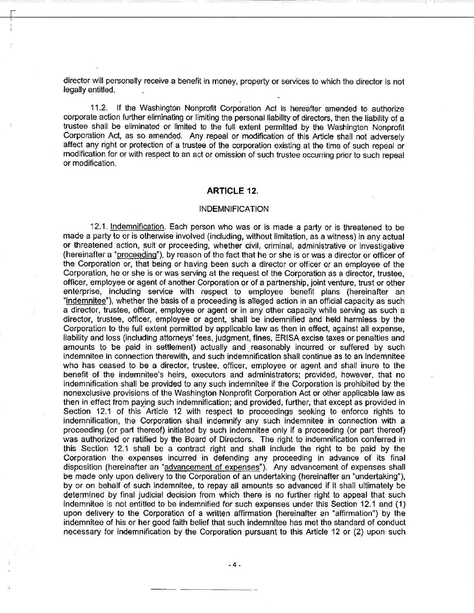director will personally receive a benefit in money, property or services to which the director is not legally entitled.

11.2. If the Washington Nonprofit Corporation Act Is hereafter amended to authorize corporate action further eliminating or limiting the personal liability of directors, then the liability of a trustee shall be eliminated or limited to the full extent permitted by the Washington Nonprofit Corporation Act, as so amended. Any repeal or modification of this Article shall not adversely affect any right or protection of a trustee of the corporation existing at the time of such repeal or modification for or with respect to an act or omission of such trustee occurring prior to such repeal or modification.

# **ARTICLE 12.**

# **INDEMNIFICATION**

12.1. Indemnification. Each person who was or is made a party or is threatened to be made a party to or is otherwise involved (including, without limitation, as a witness) in any actual or threatened action, suit or proceeding, whether civil, criminal, administrative or investigative (hereinafter a "proceeding»), by reason of the fact that he or she is or was a director or officer of the Corporation or, that being or having been such a director or officer or an employee of the Corporation, he or she is or was serving at the request of the Corporation as a director, trustee, officer, employee or agent of another Corporation or of a partnership, joint venture, trust or other enterprise, including service with respect to employee benefit plans (hereinafter an "indemnitee"), whether the basis of a proceeding is alleged action in an official capacity as such a director, trustee, officer, employee or agent or in any other capacity while serving as such a director, trustee, officer, employee or agent, shall be indemnified and held harmless by the Corporation to the full extent permitted by applicable law as then in effect, against all expense, liability and loss (including attorneys' fees, judgment, fines, ERISA excise taxes or penalties and amounts to be paid in settlement) actually and reasonably incurred or suffered by such indemnitee in connection therewith, and such indemnification shall continue as to an indemnitee who has ceased to be a director, trustee, officer. employee or agent and shall inure to the benefit of the indemnitee's heirs, executors and administrators; provided, however, that no indemnification shall be provided to any such indemnitee if the Corporation is prohibited by the nonexclusive provisions of the Washington Nonprofit Corporation Act or other applicable law as then in effect from paying such indemnification; and provided, further, that except as provided in Section 12.1 of this Article 12 with respect to proceedings seeking to enforce rights to indemnification, the Corporation shall indemnify any such indemnitee in connection with a proceeding (or part thereof) initiated by such indemnitee only if a proceeding (or part thereof) was authorized or ratified by the Board of Directors. The right to indemnification conferred in this Section 12.1 shall be a contract right and shall include the right to be paid by the Corporation the expenses incurred in defending any proceeding in advance of its final disposition (hereinafter an "advancement of expenses"). Any advancement of expenses shall be made only upon delivery to the Corporation of an undertaking (hereinafter an "undertaking"), by or on behalf of such Indemnitee, to repay all amounts so advanced if it shall ultimately be determined by final judicial decision from which there is no further right to appeal that such indemnitee is not entitled to be indemnified for such expenses under this Section 12.1 and ( 1) upon delivery to the Corporation of a written affirmation (hereinafter an "affirmation") by the indemnitee of his or her good faith belief that such indemnitee has met the standard of conduct necessary for indemnification by the Corporation pursuant to this Article 12 or (2) upon such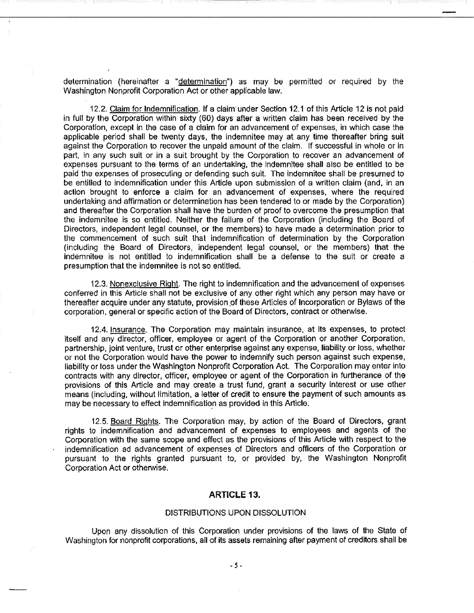determination (hereinafter a "determination") as may be permitted or required by the Washington Nonprofit Corporation Act or other applicable law.

12.2. Claim for Indemnification. If a claim· under Section 12.1 of this Article 12 is not paid in full by the Corporation within sixty (60) days after a written claim has been received by the Corporation, except in the case of a claim for an advancement of expenses, in which case the applicable period shall be twenty days, the indemnitee may at any time thereafter bring suit against the Corporation to recover the unpaid amount of the claim. If successful in whole or in part, in any such suit or in a suit brought by the Corporation to recover an advancement of expenses pursuant to the terms of an undertaking, the indemnitee shall also be entitled to be paid the expenses of prosecuting or defending such suit. The indemnitee shall be presumed to be entitled to indemnification under this Article upon submission of a written claim (and, in an action brought to enforce a claim for an advancement of expenses, where the required undertaking and affirmation or determination has been tendered to or made by the Corporation) and thereafter the Corporation shall have the burden of proof to overcome the presumption that the indemnitee is so entitled. Neither the failure of the Corporation (including the Board of Directors, independent legal counsel, or the members) to have made a determination prior to the commencement of such suit that indemnification of determination by the Corporation (including the Board of Directors, independent legal counsel, or the members) that the indemnitee is not entitled to indemnification shall be a defense to the suit or create a presumption that the indemnitee is not so entitled.

12.3. Nonexclusive Right. The right to indemnification and the advancement of expenses conferred in this Article shall not be exclusive of any other right which any person may have or thereafter acquire under any statute, provision of these Articles of Incorporation or Bylaws of the corporation, general or specific action of the Board of Directors, contract or otherwise.

12.4. Insurance. The Corporation may maintain insurance, at Its expenses, to protect itself and any director, officer, employee or agent of the Corporation or another Corporation. partnership, joint venture, trust or other enterprise against any expense, liability or loss, whether or not the Corporation would have the power to indemnify such person against such expense, liability or loss under the Washington Nonprofit Corporation Act. The Corporation may enter into contracts with any director, officer, employee or agent of the Corporation in furtherance of the provisions of this Article and may create a trust fund, grant a security interest or use other means (including, without limitation, a letter of credit to ensure the payment of such amounts as may be necessary to effect indemnification as provided in this Article.

12.5. Board Rights. The Corporation may, by action of the Board of Directors, grant rights to indemnification and advancement of expenses to employees and agents of the Corporation with the same scope and effect as the provisions of this Article with respect to the indemnification ad advancement of expenses of Directors and officers of the Corporation or pursuant to the rights granted pursuant to, or provided by, the Washington Nonprofit Corporation Act or otherwise.

# **ARTICLE** 13.

## DISTRIBUTIONS UPON DISSOLUTION

Upon any dissolution of this Corporation under provisions of the laws of the State of Washington for nonprofit corporations, all of its assets remaining after payment of creditors shall be